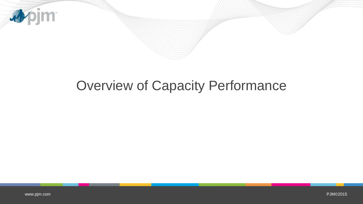

## Overview of Capacity Performance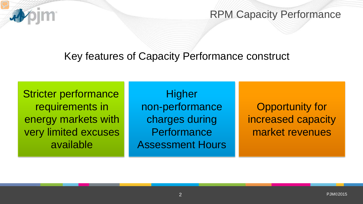

RPM Capacity Performance

## Key features of Capacity Performance construct

Stricter performance requirements in energy markets with very limited excuses available

**Higher** non-performance charges during **Performance** Assessment Hours

Opportunity for increased capacity market revenues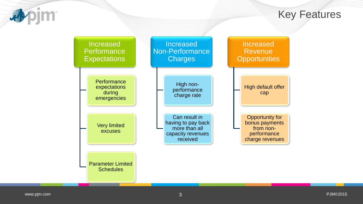

Key Features

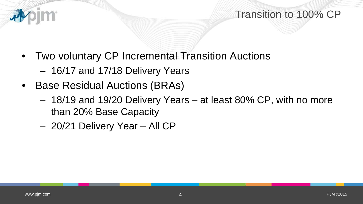## Transition to 100% CP

- Two voluntary CP Incremental Transition Auctions
	- 16/17 and 17/18 Delivery Years
- Base Residual Auctions (BRAs)
	- 18/19 and 19/20 Delivery Years at least 80% CP, with no more than 20% Base Capacity
	- 20/21 Delivery Year All CP